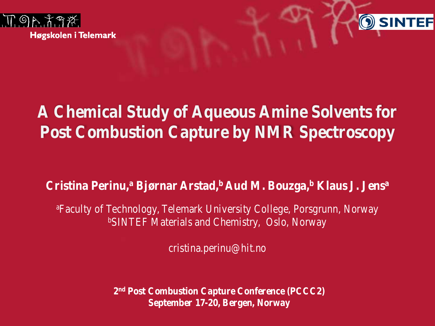



## **A Chemical Study of Aqueous Amine Solvents for Post Combustion Capture by NMR Spectroscopy**

### **Cristina Perinu,a Bjørnar Arstad,b Aud M. Bouzga,b Klaus J. Jensa**

a Faculty of Technology, Telemark University College, Porsgrunn, Norway bSINTEF Materials and Chemistry, Oslo, Norway

cristina.perinu@hit.no

**2nd Post Combustion Capture Conference (PCCC2) September 17-20, Bergen, Norway**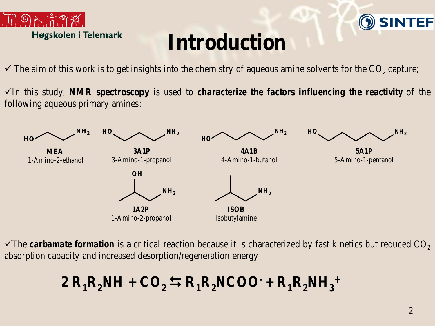

## **O SINTEF**

# **Introduction**

- $\checkmark$  The aim of this work is to get insights into the chemistry of aqueous amine solvents for the CO<sub>2</sub> capture;
- In this study, **NMR spectroscopy** is used to *characterize the factors influencing the reactivity* of the following aqueous primary amines:



The *carbamate formation* is a critical reaction because it is characterized by fast kinetics but reduced  $CO<sub>2</sub>$ absorption capacity and increased desorption/regeneration energy

### $2 R_1R_2NH + CO_2 \leftrightarrows R_1R_2NCOO + R_1R_2NH_3$ <sup>+</sup>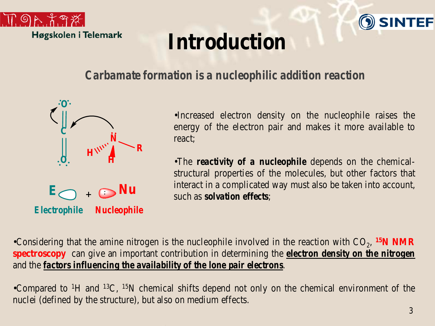



# **Introduction**

### *Carbamate formation is a nucleophilic addition reaction*



•Increased electron density on the nucleophile raises the energy of the electron pair and makes it more available to react;

•The *reactivity of a nucleophile* depends on the chemicalstructural properties of the molecules, but other factors that interact in a complicated way must also be taken into account, such as *solvation effects*;

•Considering that the amine nitrogen is the nucleophile involved in the reaction with  $CO_2$ , <sup>15</sup>N NMR **spectroscopy** can give an important contribution in determining the *electron density on the nitrogen* and the *factors influencing the availability of the lone pair electrons*.

•Compared to <sup>1</sup>H and <sup>13</sup>C, <sup>15</sup>N chemical shifts depend not only on the chemical environment of the nuclei (defined by the structure), but also on medium effects.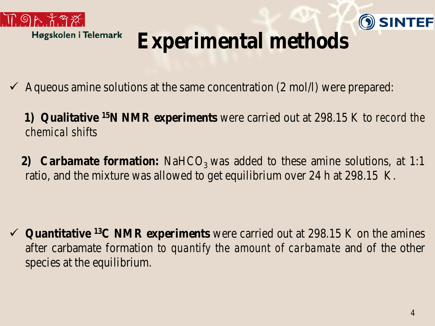



# **Experimental methods**

- Aqueous amine solutions at the same concentration (2 mol/l) were prepared:
	- **1) Qualitative 15N NMR experiments** were carried out at 298.15 K to *record the chemical shifts*
	- **2) Carbamate formation:** NaHCO<sub>3</sub> was added to these amine solutions, at 1:1 ratio, and the mixture was allowed to get equilibrium over 24 h at 298.15 K.

 **Quantitative 13C NMR experiments** were carried out at 298.15 K on the amines after carbamate formation *to quantify the amount of carbamate* and of the other species at the equilibrium.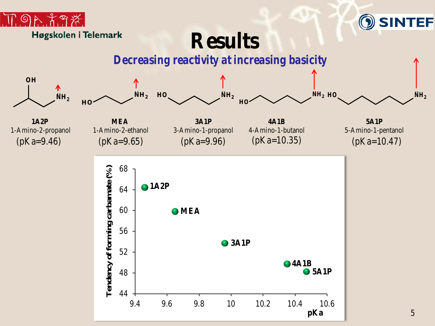



**Results**

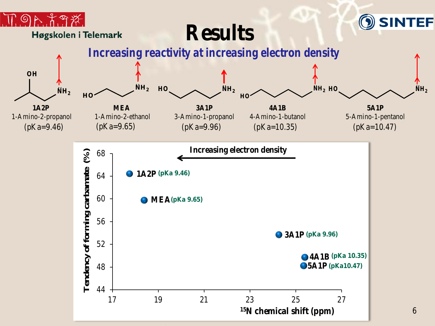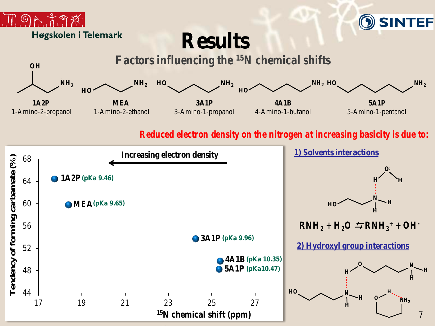



## **Results**



#### *Reduced electron density on the nitrogen at increasing basicity is due to:*

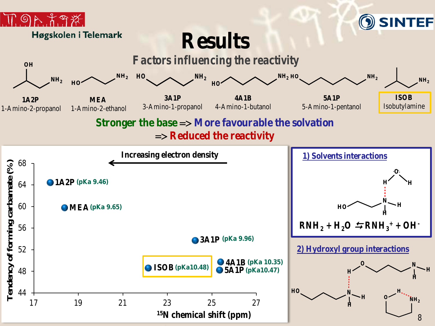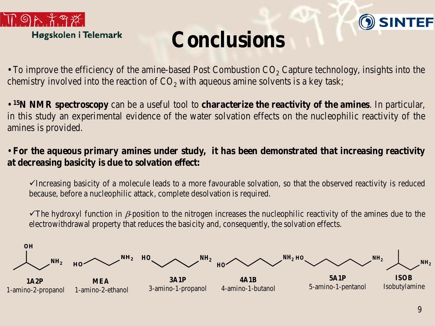



# **Conclusions**

• To improve the efficiency of the amine-based Post Combustion  $CO<sub>2</sub>$  Capture technology, insights into the chemistry involved into the reaction of  $CO<sub>2</sub>$  with aqueous amine solvents is a key task;

• **15N NMR spectroscopy** can be a useful tool to **characterize the reactivity of the amines**. In particular, in this study an experimental evidence of the water solvation effects on the nucleophilic reactivity of the amines is provided.

### • **For the aqueous primary amines under study, it has been demonstrated that increasing reactivity at decreasing basicity is due to solvation effect:**

 $\checkmark$ Increasing basicity of a molecule leads to a more favourable solvation, so that the observed reactivity is reduced because, before a nucleophilic attack, complete desolvation is required.

The hydroxyl function in  $\beta$ -position to the nitrogen increases the nucleophilic reactivity of the amines due to the electrowithdrawal property that reduces the basicity and, consequently, the solvation effects.